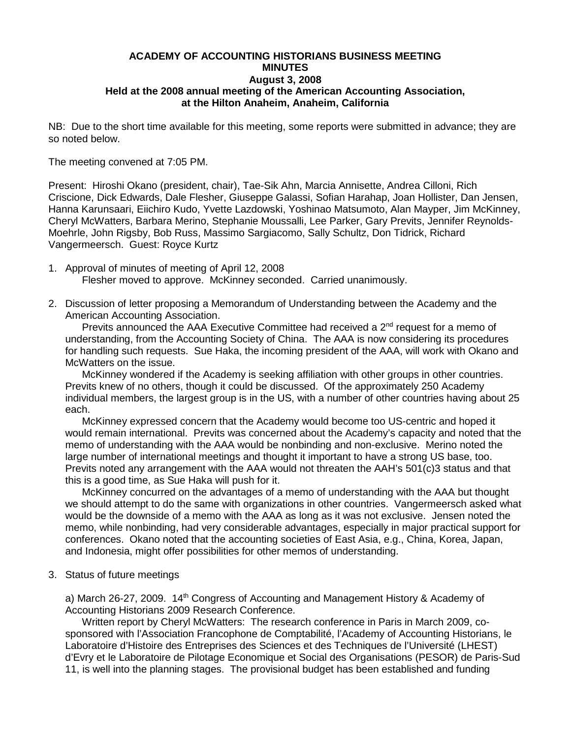## **ACADEMY OF ACCOUNTING HISTORIANS BUSINESS MEETING MINUTES August 3, 2008 Held at the 2008 annual meeting of the American Accounting Association, at the Hilton Anaheim, Anaheim, California**

NB: Due to the short time available for this meeting, some reports were submitted in advance; they are so noted below.

The meeting convened at 7:05 PM.

Present: Hiroshi Okano (president, chair), Tae-Sik Ahn, Marcia Annisette, Andrea Cilloni, Rich Criscione, Dick Edwards, Dale Flesher, Giuseppe Galassi, Sofian Harahap, Joan Hollister, Dan Jensen, Hanna Karunsaari, Eiichiro Kudo, Yvette Lazdowski, Yoshinao Matsumoto, Alan Mayper, Jim McKinney, Cheryl McWatters, Barbara Merino, Stephanie Moussalli, Lee Parker, Gary Previts, Jennifer Reynolds-Moehrle, John Rigsby, Bob Russ, Massimo Sargiacomo, Sally Schultz, Don Tidrick, Richard Vangermeersch. Guest: Royce Kurtz

- 1. Approval of minutes of meeting of April 12, 2008 Flesher moved to approve. McKinney seconded. Carried unanimously.
- 2. Discussion of letter proposing a Memorandum of Understanding between the Academy and the American Accounting Association.

Previts announced the AAA Executive Committee had received a  $2<sup>nd</sup>$  request for a memo of understanding, from the Accounting Society of China. The AAA is now considering its procedures for handling such requests. Sue Haka, the incoming president of the AAA, will work with Okano and McWatters on the issue.

McKinney wondered if the Academy is seeking affiliation with other groups in other countries. Previts knew of no others, though it could be discussed. Of the approximately 250 Academy individual members, the largest group is in the US, with a number of other countries having about 25 each.

McKinney expressed concern that the Academy would become too US-centric and hoped it would remain international. Previts was concerned about the Academy's capacity and noted that the memo of understanding with the AAA would be nonbinding and non-exclusive. Merino noted the large number of international meetings and thought it important to have a strong US base, too. Previts noted any arrangement with the AAA would not threaten the AAH's 501(c)3 status and that this is a good time, as Sue Haka will push for it.

McKinney concurred on the advantages of a memo of understanding with the AAA but thought we should attempt to do the same with organizations in other countries. Vangermeersch asked what would be the downside of a memo with the AAA as long as it was not exclusive. Jensen noted the memo, while nonbinding, had very considerable advantages, especially in major practical support for conferences. Okano noted that the accounting societies of East Asia, e.g., China, Korea, Japan, and Indonesia, might offer possibilities for other memos of understanding.

3. Status of future meetings

a) March 26-27, 2009.  $14<sup>th</sup>$  Congress of Accounting and Management History & Academy of Accounting Historians 2009 Research Conference.

Written report by Cheryl McWatters: The research conference in Paris in March 2009, cosponsored with l'Association Francophone de Comptabilité, l'Academy of Accounting Historians, le Laboratoire d'Histoire des Entreprises des Sciences et des Techniques de l'Université (LHEST) d'Evry et le Laboratoire de Pilotage Economique et Social des Organisations (PESOR) de Paris-Sud 11, is well into the planning stages. The provisional budget has been established and funding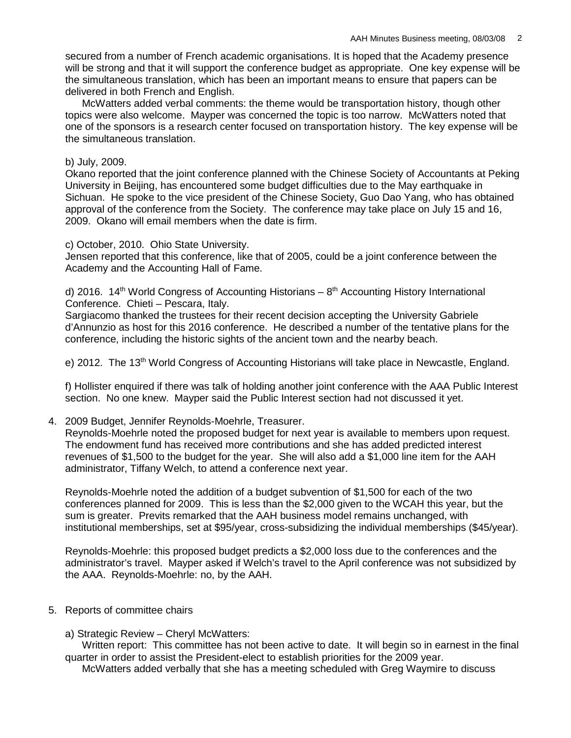secured from a number of French academic organisations. It is hoped that the Academy presence will be strong and that it will support the conference budget as appropriate. One key expense will be the simultaneous translation, which has been an important means to ensure that papers can be delivered in both French and English.

McWatters added verbal comments: the theme would be transportation history, though other topics were also welcome. Mayper was concerned the topic is too narrow. McWatters noted that one of the sponsors is a research center focused on transportation history. The key expense will be the simultaneous translation.

### b) July, 2009.

Okano reported that the joint conference planned with the Chinese Society of Accountants at Peking University in Beijing, has encountered some budget difficulties due to the May earthquake in Sichuan. He spoke to the vice president of the Chinese Society, Guo Dao Yang, who has obtained approval of the conference from the Society. The conference may take place on July 15 and 16, 2009. Okano will email members when the date is firm.

#### c) October, 2010. Ohio State University.

Jensen reported that this conference, like that of 2005, could be a joint conference between the Academy and the Accounting Hall of Fame.

d) 2016. 14<sup>th</sup> World Congress of Accounting Historians –  $8<sup>th</sup>$  Accounting History International Conference. Chieti – Pescara, Italy.

Sargiacomo thanked the trustees for their recent decision accepting the University Gabriele d'Annunzio as host for this 2016 conference. He described a number of the tentative plans for the conference, including the historic sights of the ancient town and the nearby beach.

e) 2012. The 13<sup>th</sup> World Congress of Accounting Historians will take place in Newcastle, England.

f) Hollister enquired if there was talk of holding another joint conference with the AAA Public Interest section. No one knew. Mayper said the Public Interest section had not discussed it yet.

4. 2009 Budget, Jennifer Reynolds-Moehrle, Treasurer.

Reynolds-Moehrle noted the proposed budget for next year is available to members upon request. The endowment fund has received more contributions and she has added predicted interest revenues of \$1,500 to the budget for the year. She will also add a \$1,000 line item for the AAH administrator, Tiffany Welch, to attend a conference next year.

Reynolds-Moehrle noted the addition of a budget subvention of \$1,500 for each of the two conferences planned for 2009. This is less than the \$2,000 given to the WCAH this year, but the sum is greater. Previts remarked that the AAH business model remains unchanged, with institutional memberships, set at \$95/year, cross-subsidizing the individual memberships (\$45/year).

Reynolds-Moehrle: this proposed budget predicts a \$2,000 loss due to the conferences and the administrator's travel. Mayper asked if Welch's travel to the April conference was not subsidized by the AAA. Reynolds-Moehrle: no, by the AAH.

- 5. Reports of committee chairs
	- a) Strategic Review Cheryl McWatters:

 Written report: This committee has not been active to date. It will begin so in earnest in the final quarter in order to assist the President-elect to establish priorities for the 2009 year.

McWatters added verbally that she has a meeting scheduled with Greg Waymire to discuss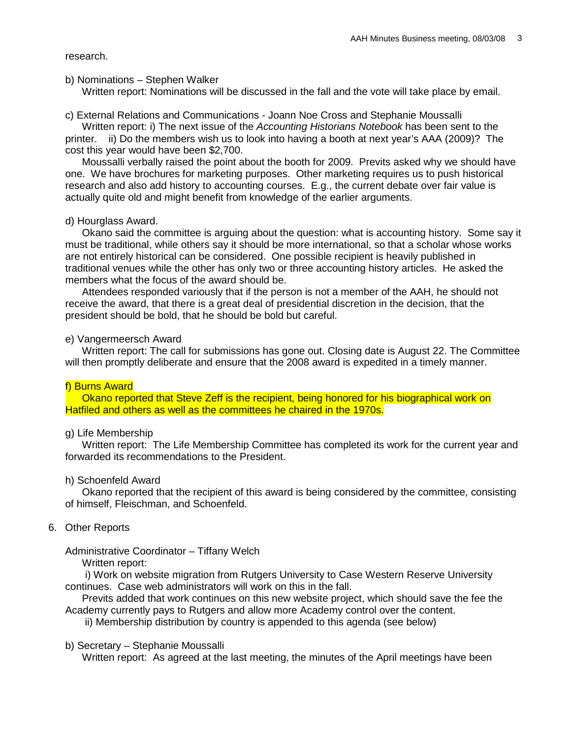research.

#### b) Nominations – Stephen Walker

Written report: Nominations will be discussed in the fall and the vote will take place by email.

c) External Relations and Communications - Joann Noe Cross and Stephanie Moussalli

 Written report: i) The next issue of the *Accounting Historians Notebook* has been sent to the printer. ii) Do the members wish us to look into having a booth at next year's AAA (2009)? The cost this year would have been \$2,700.

Moussalli verbally raised the point about the booth for 2009. Previts asked why we should have one. We have brochures for marketing purposes. Other marketing requires us to push historical research and also add history to accounting courses. E.g., the current debate over fair value is actually quite old and might benefit from knowledge of the earlier arguments.

### d) Hourglass Award.

Okano said the committee is arguing about the question: what is accounting history. Some say it must be traditional, while others say it should be more international, so that a scholar whose works are not entirely historical can be considered. One possible recipient is heavily published in traditional venues while the other has only two or three accounting history articles. He asked the members what the focus of the award should be.

Attendees responded variously that if the person is not a member of the AAH, he should not receive the award, that there is a great deal of presidential discretion in the decision, that the president should be bold, that he should be bold but careful.

#### e) Vangermeersch Award

Written report: The call for submissions has gone out. Closing date is August 22. The Committee will then promptly deliberate and ensure that the 2008 award is expedited in a timely manner.

### f) Burns Award

Okano reported that Steve Zeff is the recipient, being honored for his biographical work on Hatfiled and others as well as the committees he chaired in the 1970s.

### g) Life Membership

Written report: The Life Membership Committee has completed its work for the current year and forwarded its recommendations to the President.

### h) Schoenfeld Award

Okano reported that the recipient of this award is being considered by the committee, consisting of himself, Fleischman, and Schoenfeld.

## 6. Other Reports

Administrative Coordinator – Tiffany Welch

Written report:

 i) Work on website migration from Rutgers University to Case Western Reserve University continues. Case web administrators will work on this in the fall.

Previts added that work continues on this new website project, which should save the fee the Academy currently pays to Rutgers and allow more Academy control over the content.

ii) Membership distribution by country is appended to this agenda (see below)

### b) Secretary – Stephanie Moussalli

Written report: As agreed at the last meeting, the minutes of the April meetings have been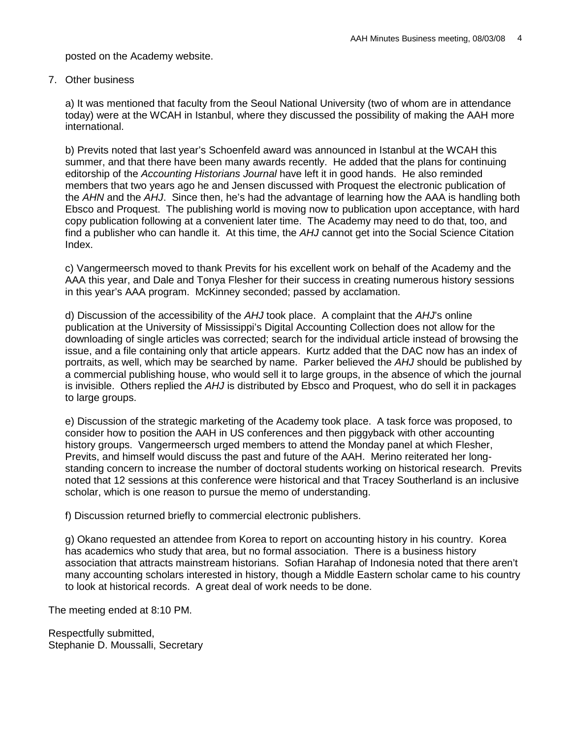posted on the Academy website.

# 7. Other business

a) It was mentioned that faculty from the Seoul National University (two of whom are in attendance today) were at the WCAH in Istanbul, where they discussed the possibility of making the AAH more international.

b) Previts noted that last year's Schoenfeld award was announced in Istanbul at the WCAH this summer, and that there have been many awards recently. He added that the plans for continuing editorship of the *Accounting Historians Journal* have left it in good hands. He also reminded members that two years ago he and Jensen discussed with Proquest the electronic publication of the *AHN* and the *AHJ*. Since then, he's had the advantage of learning how the AAA is handling both Ebsco and Proquest. The publishing world is moving now to publication upon acceptance, with hard copy publication following at a convenient later time. The Academy may need to do that, too, and find a publisher who can handle it. At this time, the *AHJ* cannot get into the Social Science Citation Index.

c) Vangermeersch moved to thank Previts for his excellent work on behalf of the Academy and the AAA this year, and Dale and Tonya Flesher for their success in creating numerous history sessions in this year's AAA program. McKinney seconded; passed by acclamation.

d) Discussion of the accessibility of the *AHJ* took place. A complaint that the *AHJ*'s online publication at the University of Mississippi's Digital Accounting Collection does not allow for the downloading of single articles was corrected; search for the individual article instead of browsing the issue, and a file containing only that article appears. Kurtz added that the DAC now has an index of portraits, as well, which may be searched by name. Parker believed the *AHJ* should be published by a commercial publishing house, who would sell it to large groups, in the absence of which the journal is invisible. Others replied the *AHJ* is distributed by Ebsco and Proquest, who do sell it in packages to large groups.

e) Discussion of the strategic marketing of the Academy took place. A task force was proposed, to consider how to position the AAH in US conferences and then piggyback with other accounting history groups. Vangermeersch urged members to attend the Monday panel at which Flesher, Previts, and himself would discuss the past and future of the AAH. Merino reiterated her longstanding concern to increase the number of doctoral students working on historical research. Previts noted that 12 sessions at this conference were historical and that Tracey Southerland is an inclusive scholar, which is one reason to pursue the memo of understanding.

f) Discussion returned briefly to commercial electronic publishers.

g) Okano requested an attendee from Korea to report on accounting history in his country. Korea has academics who study that area, but no formal association. There is a business history association that attracts mainstream historians. Sofian Harahap of Indonesia noted that there aren't many accounting scholars interested in history, though a Middle Eastern scholar came to his country to look at historical records. A great deal of work needs to be done.

The meeting ended at 8:10 PM.

Respectfully submitted, Stephanie D. Moussalli, Secretary